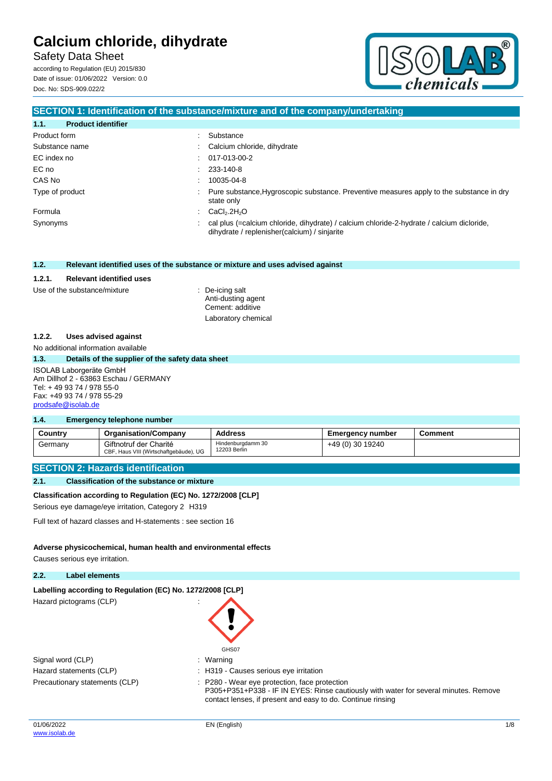Safety Data Sheet

according to Regulation (EU) 2015/830 Date of issue: 01/06/2022 Version: 0.0 Doc. No: SDS-909.022/2



### **SECTION 1: Identification of the substance/mixture and of the company/undertaking**

| 1.1.<br><b>Product identifier</b> |                                                                                                                                             |
|-----------------------------------|---------------------------------------------------------------------------------------------------------------------------------------------|
| Product form                      | Substance                                                                                                                                   |
| Substance name                    | : Calcium chloride, dihydrate                                                                                                               |
| EC index no                       | $: 017-013-00-2$                                                                                                                            |
| EC no                             | $: 233-140-8$                                                                                                                               |
| CAS No                            | 10035-04-8                                                                                                                                  |
| Type of product                   | : Pure substance, Hygroscopic substance. Preventive measures apply to the substance in dry<br>state only                                    |
| Formula                           | $\therefore$ CaCl <sub>2</sub> .2H <sub>2</sub> O                                                                                           |
| Synonyms                          | : cal plus (=calcium chloride, dihydrate) / calcium chloride-2-hydrate / calcium dicloride,<br>dihydrate / replenisher(calcium) / sinjarite |

#### **1.2. Relevant identified uses of the substance or mixture and uses advised against**

#### **1.2.1. Relevant identified uses**

#### Use of the substance/mixture : De-icing salt

Anti-dusting agent Cement: additive Laboratory chemical

#### **1.2.2. Uses advised against**

No additional information available

#### **1.3. Details of the supplier of the safety data sheet**

#### ISOLAB Laborgeräte GmbH Am Dillhof 2 - 63863 Eschau / GERMANY Tel: + 49 93 74 / 978 55-0 Fax: +49 93 74 / 978 55-29 [prodsafe@isolab.de](mailto:prodsafe@isolab.de)

#### **1.4. Emergency telephone number**

| Country | <b>Organisation/Company</b>                                      | <b>Address</b>                    | <b>Emergency number</b> | Comment |
|---------|------------------------------------------------------------------|-----------------------------------|-------------------------|---------|
| Germany | Giftnotruf der Charité<br>CBF, Haus VIII (Wirtschaftgebäude), UG | Hindenburgdamm 30<br>12203 Berlin | +49 (0) 30 19240        |         |

#### **SECTION 2: Hazards identification**

#### **2.1. Classification of the substance or mixture**

#### **Classification according to Regulation (EC) No. 1272/2008 [CLP]**

Serious eye damage/eye irritation, Category 2 H319

Full text of hazard classes and H-statements : see section 16

#### **Adverse physicochemical, human health and environmental effects**

Causes serious eye irritation.

#### **2.2. Label elements**

#### Labelling according to Regulation (EC) No. 1272/2008 [CLP]

Hazard pictograms (CLP) in the state of the state of the state of the state of the state of the state of the state of the state of the state of the state of the state of the state of the state of the state of the state of

| GHS07   |
|---------|
| Warning |

| Signal word (CLP)              | $:$ Warning  |
|--------------------------------|--------------|
| Hazard statements (CLP)        | : H319 - C   |
| Precautionary statements (CLP) | $: P280 - V$ |

: H319 - Causes serious eye irritation : P280 - Wear eye protection, face protection P305+P351+P338 - IF IN EYES: Rinse cautiously with water for several minutes. Remove contact lenses, if present and easy to do. Continue rinsing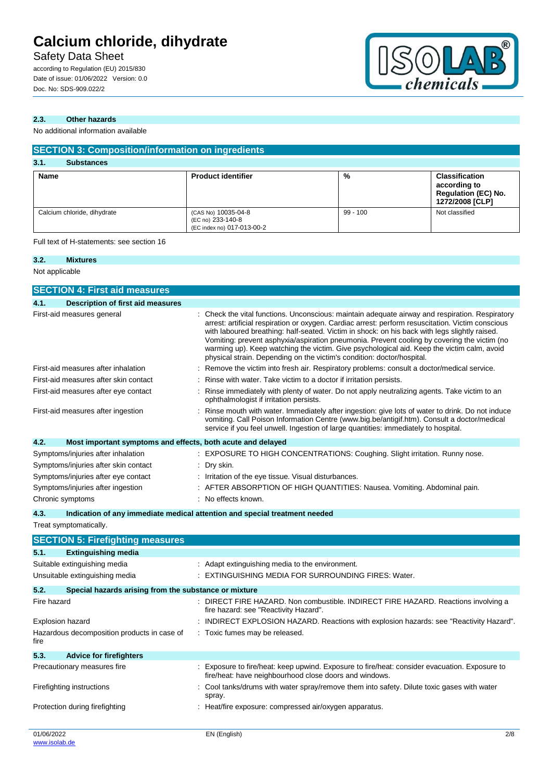## Safety Data Sheet

according to Regulation (EU) 2015/830 Date of issue: 01/06/2022 Version: 0.0 Doc. No: SDS-909.022/2



### **2.3. Other hazards**

No additional information available

| <b>SECTION 3: Composition/information on ingredients</b> |                                                                        |            |                                                                                        |  |
|----------------------------------------------------------|------------------------------------------------------------------------|------------|----------------------------------------------------------------------------------------|--|
| 3.1.<br><b>Substances</b>                                |                                                                        |            |                                                                                        |  |
| <b>Name</b>                                              | <b>Product identifier</b>                                              | %          | <b>Classification</b><br>according to<br><b>Regulation (EC) No.</b><br>1272/2008 [CLP] |  |
| Calcium chloride, dihydrate                              | (CAS No) 10035-04-8<br>(EC no) 233-140-8<br>(EC index no) 017-013-00-2 | $99 - 100$ | Not classified                                                                         |  |

Full text of H-statements: see section 16

### **3.2. Mixtures** Not applicable

| <b>SECTION 4: First aid measures</b>                                |                                                                                                                                                                                                                                                                                                                                                                                                                                                                                                                                                                              |
|---------------------------------------------------------------------|------------------------------------------------------------------------------------------------------------------------------------------------------------------------------------------------------------------------------------------------------------------------------------------------------------------------------------------------------------------------------------------------------------------------------------------------------------------------------------------------------------------------------------------------------------------------------|
| 4.1.<br><b>Description of first aid measures</b>                    |                                                                                                                                                                                                                                                                                                                                                                                                                                                                                                                                                                              |
| First-aid measures general                                          | : Check the vital functions. Unconscious: maintain adequate airway and respiration. Respiratory<br>arrest: artificial respiration or oxygen. Cardiac arrest: perform resuscitation. Victim conscious<br>with laboured breathing: half-seated. Victim in shock: on his back with legs slightly raised.<br>Vomiting: prevent asphyxia/aspiration pneumonia. Prevent cooling by covering the victim (no<br>warming up). Keep watching the victim. Give psychological aid. Keep the victim calm, avoid<br>physical strain. Depending on the victim's condition: doctor/hospital. |
| First-aid measures after inhalation                                 | Remove the victim into fresh air. Respiratory problems: consult a doctor/medical service.                                                                                                                                                                                                                                                                                                                                                                                                                                                                                    |
| First-aid measures after skin contact                               | Rinse with water. Take victim to a doctor if irritation persists.                                                                                                                                                                                                                                                                                                                                                                                                                                                                                                            |
| First-aid measures after eye contact                                | Rinse immediately with plenty of water. Do not apply neutralizing agents. Take victim to an<br>ophthalmologist if irritation persists.                                                                                                                                                                                                                                                                                                                                                                                                                                       |
| First-aid measures after ingestion                                  | Rinse mouth with water. Immediately after ingestion: give lots of water to drink. Do not induce<br>vomiting. Call Poison Information Centre (www.big.be/antigif.htm). Consult a doctor/medical<br>service if you feel unwell. Ingestion of large quantities: immediately to hospital.                                                                                                                                                                                                                                                                                        |
| 4.2.<br>Most important symptoms and effects, both acute and delayed |                                                                                                                                                                                                                                                                                                                                                                                                                                                                                                                                                                              |
| Symptoms/injuries after inhalation                                  | EXPOSURE TO HIGH CONCENTRATIONS: Coughing. Slight irritation. Runny nose.                                                                                                                                                                                                                                                                                                                                                                                                                                                                                                    |
| Symptoms/injuries after skin contact                                | Dry skin.                                                                                                                                                                                                                                                                                                                                                                                                                                                                                                                                                                    |
| Symptoms/injuries after eye contact                                 | Irritation of the eye tissue. Visual disturbances.                                                                                                                                                                                                                                                                                                                                                                                                                                                                                                                           |
| Symptoms/injuries after ingestion                                   | AFTER ABSORPTION OF HIGH QUANTITIES: Nausea. Vomiting. Abdominal pain.                                                                                                                                                                                                                                                                                                                                                                                                                                                                                                       |
| Chronic symptoms                                                    | : No effects known.                                                                                                                                                                                                                                                                                                                                                                                                                                                                                                                                                          |
| 4.3.                                                                | Indication of any immediate medical attention and special treatment needed                                                                                                                                                                                                                                                                                                                                                                                                                                                                                                   |
| Treat symptomatically.                                              |                                                                                                                                                                                                                                                                                                                                                                                                                                                                                                                                                                              |
| <b>SECTION 5: Firefighting measures</b>                             |                                                                                                                                                                                                                                                                                                                                                                                                                                                                                                                                                                              |
| <b>Extinguishing media</b><br>5.1.                                  |                                                                                                                                                                                                                                                                                                                                                                                                                                                                                                                                                                              |
| Suitable extinguishing media                                        | : Adapt extinguishing media to the environment.                                                                                                                                                                                                                                                                                                                                                                                                                                                                                                                              |
| Unsuitable extinguishing media                                      | : EXTINGUISHING MEDIA FOR SURROUNDING FIRES: Water.                                                                                                                                                                                                                                                                                                                                                                                                                                                                                                                          |
| 5.2.<br>Special hazards arising from the substance or mixture       |                                                                                                                                                                                                                                                                                                                                                                                                                                                                                                                                                                              |
| Fire hazard                                                         | : DIRECT FIRE HAZARD. Non combustible. INDIRECT FIRE HAZARD. Reactions involving a<br>fire hazard: see "Reactivity Hazard".                                                                                                                                                                                                                                                                                                                                                                                                                                                  |
| Explosion hazard                                                    | INDIRECT EXPLOSION HAZARD. Reactions with explosion hazards: see "Reactivity Hazard".                                                                                                                                                                                                                                                                                                                                                                                                                                                                                        |
| Hazardous decomposition products in case of<br>fire                 | : Toxic fumes may be released.                                                                                                                                                                                                                                                                                                                                                                                                                                                                                                                                               |
| 5.3.<br><b>Advice for firefighters</b>                              |                                                                                                                                                                                                                                                                                                                                                                                                                                                                                                                                                                              |
| Precautionary measures fire                                         | : Exposure to fire/heat: keep upwind. Exposure to fire/heat: consider evacuation. Exposure to                                                                                                                                                                                                                                                                                                                                                                                                                                                                                |

fire/heat: have neighbourhood close doors and windows.

spray.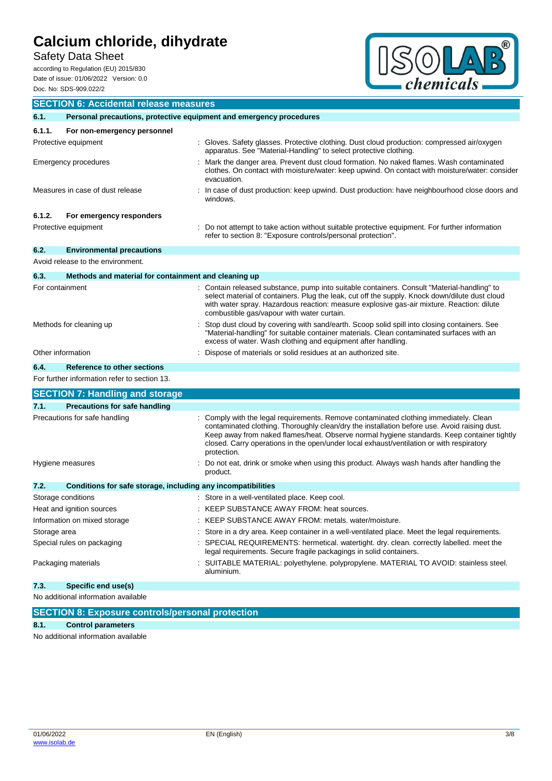Safety Data Sheet

according to Regulation (EU) 2015/830 Date of issue: 01/06/2022 Version: 0.0 Doc. No: SDS-909.022/2



|                   | <b>SECTION 6: Accidental release measures</b>                       |                                                                                                                                                                                                                                                                                                                                                                                              |  |  |
|-------------------|---------------------------------------------------------------------|----------------------------------------------------------------------------------------------------------------------------------------------------------------------------------------------------------------------------------------------------------------------------------------------------------------------------------------------------------------------------------------------|--|--|
| 6.1.              | Personal precautions, protective equipment and emergency procedures |                                                                                                                                                                                                                                                                                                                                                                                              |  |  |
| 6.1.1.            | For non-emergency personnel                                         |                                                                                                                                                                                                                                                                                                                                                                                              |  |  |
|                   | Protective equipment                                                | : Gloves. Safety glasses. Protective clothing. Dust cloud production: compressed air/oxygen<br>apparatus. See "Material-Handling" to select protective clothing.                                                                                                                                                                                                                             |  |  |
|                   | Emergency procedures                                                | Mark the danger area. Prevent dust cloud formation. No naked flames. Wash contaminated<br>clothes. On contact with moisture/water: keep upwind. On contact with moisture/water: consider<br>evacuation.                                                                                                                                                                                      |  |  |
|                   | Measures in case of dust release                                    | In case of dust production: keep upwind. Dust production: have neighbourhood close doors and<br>windows.                                                                                                                                                                                                                                                                                     |  |  |
| 6.1.2.            | For emergency responders                                            |                                                                                                                                                                                                                                                                                                                                                                                              |  |  |
|                   | Protective equipment                                                | Do not attempt to take action without suitable protective equipment. For further information<br>refer to section 8: "Exposure controls/personal protection".                                                                                                                                                                                                                                 |  |  |
| 6.2.              | <b>Environmental precautions</b>                                    |                                                                                                                                                                                                                                                                                                                                                                                              |  |  |
|                   | Avoid release to the environment.                                   |                                                                                                                                                                                                                                                                                                                                                                                              |  |  |
| 6.3.              | Methods and material for containment and cleaning up                |                                                                                                                                                                                                                                                                                                                                                                                              |  |  |
| For containment   |                                                                     | Contain released substance, pump into suitable containers. Consult "Material-handling" to<br>select material of containers. Plug the leak, cut off the supply. Knock down/dilute dust cloud<br>with water spray. Hazardous reaction: measure explosive gas-air mixture. Reaction: dilute<br>combustible gas/vapour with water curtain.                                                       |  |  |
|                   | Methods for cleaning up                                             | Stop dust cloud by covering with sand/earth. Scoop solid spill into closing containers. See<br>"Material-handling" for suitable container materials. Clean contaminated surfaces with an<br>excess of water. Wash clothing and equipment after handling.                                                                                                                                     |  |  |
| Other information |                                                                     | : Dispose of materials or solid residues at an authorized site.                                                                                                                                                                                                                                                                                                                              |  |  |
| 6.4.              | Reference to other sections                                         |                                                                                                                                                                                                                                                                                                                                                                                              |  |  |
|                   | For further information refer to section 13.                        |                                                                                                                                                                                                                                                                                                                                                                                              |  |  |
|                   | <b>SECTION 7: Handling and storage</b>                              |                                                                                                                                                                                                                                                                                                                                                                                              |  |  |
| 7.1.              | <b>Precautions for safe handling</b>                                |                                                                                                                                                                                                                                                                                                                                                                                              |  |  |
|                   | Precautions for safe handling                                       | Comply with the legal requirements. Remove contaminated clothing immediately. Clean<br>contaminated clothing. Thoroughly clean/dry the installation before use. Avoid raising dust.<br>Keep away from naked flames/heat. Observe normal hygiene standards. Keep container tightly<br>closed. Carry operations in the open/under local exhaust/ventilation or with respiratory<br>protection. |  |  |
|                   | Hygiene measures                                                    | Do not eat, drink or smoke when using this product. Always wash hands after handling the<br>product.                                                                                                                                                                                                                                                                                         |  |  |
| 7.2.              | Conditions for safe storage, including any incompatibilities        |                                                                                                                                                                                                                                                                                                                                                                                              |  |  |
|                   | Storage conditions                                                  | : Store in a well-ventilated place. Keep cool.                                                                                                                                                                                                                                                                                                                                               |  |  |
|                   | Heat and ignition sources                                           | KEEP SUBSTANCE AWAY FROM: heat sources.                                                                                                                                                                                                                                                                                                                                                      |  |  |
|                   | Information on mixed storage                                        | : KEEP SUBSTANCE AWAY FROM: metals. water/moisture.                                                                                                                                                                                                                                                                                                                                          |  |  |
| Storage area      |                                                                     | Store in a dry area. Keep container in a well-ventilated place. Meet the legal requirements.                                                                                                                                                                                                                                                                                                 |  |  |
|                   | Special rules on packaging                                          | SPECIAL REQUIREMENTS: hermetical. watertight. dry. clean. correctly labelled. meet the<br>legal requirements. Secure fragile packagings in solid containers.                                                                                                                                                                                                                                 |  |  |
|                   | Packaging materials                                                 | SUITABLE MATERIAL: polyethylene. polypropylene. MATERIAL TO AVOID: stainless steel.<br>aluminium.                                                                                                                                                                                                                                                                                            |  |  |
| 7.3.              | Specific end use(s)                                                 |                                                                                                                                                                                                                                                                                                                                                                                              |  |  |
|                   | No additional information available                                 |                                                                                                                                                                                                                                                                                                                                                                                              |  |  |
|                   | <b>SECTION 8: Exposure controls/personal protection</b>             |                                                                                                                                                                                                                                                                                                                                                                                              |  |  |

**8.1. Control parameters**

No additional information available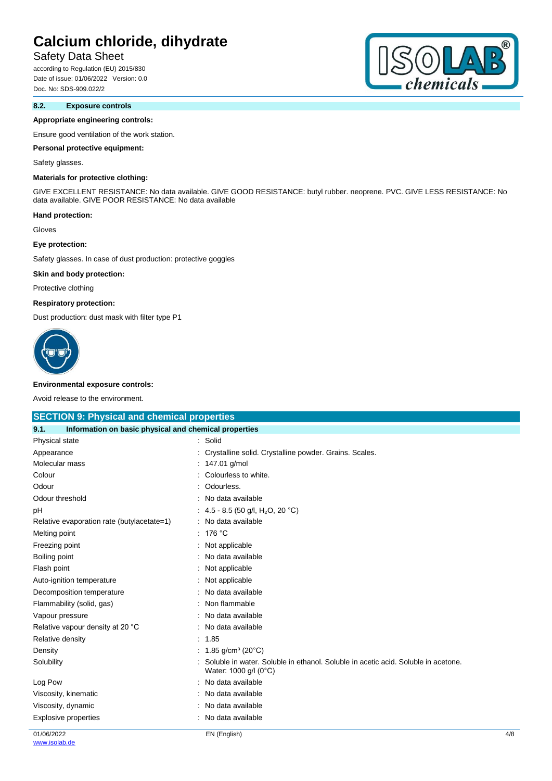## Safety Data Sheet

according to Regulation (EU) 2015/830 Date of issue: 01/06/2022 Version: 0.0 Doc. No: SDS-909.022/2

### **8.2. Exposure controls**

#### **Appropriate engineering controls:**

Ensure good ventilation of the work station.

#### **Personal protective equipment:**

#### Safety glasses.

### **Materials for protective clothing:**

GIVE EXCELLENT RESISTANCE: No data available. GIVE GOOD RESISTANCE: butyl rubber. neoprene. PVC. GIVE LESS RESISTANCE: No data available. GIVE POOR RESISTANCE: No data available

#### **Hand protection:**

Gloves

#### **Eye protection:**

Safety glasses. In case of dust production: protective goggles

#### **Skin and body protection:**

Protective clothing

#### **Respiratory protection:**

Dust production: dust mask with filter type P1



#### **Environmental exposure controls:**

Avoid release to the environment.

| <b>SECTION 9: Physical and chemical properties</b>            |                                                                                                            |     |
|---------------------------------------------------------------|------------------------------------------------------------------------------------------------------------|-----|
| Information on basic physical and chemical properties<br>9.1. |                                                                                                            |     |
| Physical state                                                | : Solid                                                                                                    |     |
| Appearance                                                    | Crystalline solid. Crystalline powder. Grains. Scales.                                                     |     |
| Molecular mass                                                | 147.01 g/mol                                                                                               |     |
| Colour                                                        | Colourless to white.                                                                                       |     |
| Odour                                                         | Odourless.                                                                                                 |     |
| Odour threshold                                               | No data available                                                                                          |     |
| pH                                                            | : 4.5 - 8.5 (50 g/l, H <sub>2</sub> O, 20 °C)                                                              |     |
| Relative evaporation rate (butylacetate=1)                    | No data available                                                                                          |     |
| Melting point                                                 | 176 °C                                                                                                     |     |
| Freezing point                                                | Not applicable                                                                                             |     |
| Boiling point                                                 | No data available                                                                                          |     |
| Flash point                                                   | Not applicable                                                                                             |     |
| Auto-ignition temperature                                     | Not applicable                                                                                             |     |
| Decomposition temperature                                     | No data available                                                                                          |     |
| Flammability (solid, gas)                                     | Non flammable                                                                                              |     |
| Vapour pressure                                               | No data available                                                                                          |     |
| Relative vapour density at 20 °C                              | No data available                                                                                          |     |
| Relative density                                              | : 1.85                                                                                                     |     |
| Density                                                       | : 1.85 g/cm <sup>3</sup> (20 $^{\circ}$ C)                                                                 |     |
| Solubility                                                    | Soluble in water. Soluble in ethanol. Soluble in acetic acid. Soluble in acetone.<br>Water: 1000 g/l (0°C) |     |
| Log Pow                                                       | No data available                                                                                          |     |
| Viscosity, kinematic                                          | No data available                                                                                          |     |
| Viscosity, dynamic                                            | No data available                                                                                          |     |
| <b>Explosive properties</b>                                   | No data available                                                                                          |     |
| 01/06/2022                                                    | EN (English)                                                                                               | 4/8 |

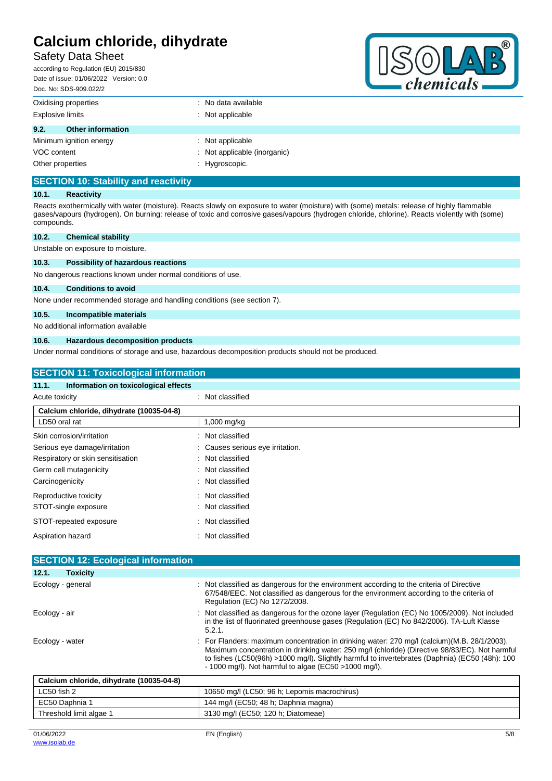## Safety Data Sheet

according to Regulation (EU) 2015/830 Date of issue: 01/06/2022 Version: 0.0 Doc. No: SDS-909.022/2



| <u>DUC. INU. ODO-909.022/2</u>   |                                |
|----------------------------------|--------------------------------|
| Oxidising properties             | $\therefore$ No data available |
| <b>Explosive limits</b>          | : Not applicable               |
| 9.2.<br><b>Other information</b> |                                |
| Minimum ignition energy          | : Not applicable               |
| VOC content                      | : Not applicable (inorganic)   |
| Other properties                 | : Hygroscopic.                 |

## **SECTION 10: Stability and reactivity**

#### **10.1. Reactivity**

Reacts exothermically with water (moisture). Reacts slowly on exposure to water (moisture) with (some) metals: release of highly flammable gases/vapours (hydrogen). On burning: release of toxic and corrosive gases/vapours (hydrogen chloride, chlorine). Reacts violently with (some) compounds.

| 10.2. | <b>Chemical stability</b>         |  |  |  |
|-------|-----------------------------------|--|--|--|
|       | Unstable on exposure to moisture. |  |  |  |

#### **10.3. Possibility of hazardous reactions**

No dangerous reactions known under normal conditions of use.

#### **10.4. Conditions to avoid**

None under recommended storage and handling conditions (see section 7).

#### **10.5. Incompatible materials**

No additional information available

#### **10.6. Hazardous decomposition products**

Under normal conditions of storage and use, hazardous decomposition products should not be produced.

| <b>SECTION 11: Toxicological information</b>  |                                |  |  |
|-----------------------------------------------|--------------------------------|--|--|
| Information on toxicological effects<br>11.1. |                                |  |  |
| Acute toxicity                                | : Not classified               |  |  |
| Calcium chloride, dihydrate (10035-04-8)      |                                |  |  |
| LD50 oral rat                                 | 1,000 mg/kg                    |  |  |
| Skin corrosion/irritation                     | Not classified<br>۰.           |  |  |
| Serious eye damage/irritation                 | Causes serious eye irritation. |  |  |
| Respiratory or skin sensitisation             | Not classified<br>÷            |  |  |
| Germ cell mutagenicity                        | Not classified<br>÷            |  |  |
| Carcinogenicity                               | Not classified<br>÷            |  |  |
| Reproductive toxicity                         | Not classified<br>÷            |  |  |
| STOT-single exposure                          | Not classified<br>÷            |  |  |
| STOT-repeated exposure                        | Not classified<br>÷            |  |  |
| Aspiration hazard                             | Not classified<br>۰            |  |  |
|                                               |                                |  |  |
| <b>SECTION 12: Ecological information</b>     |                                |  |  |

| 12.1.           | <b>Toxicity</b>                          |                                                                                                                                                                                                                                                                                                                                                            |
|-----------------|------------------------------------------|------------------------------------------------------------------------------------------------------------------------------------------------------------------------------------------------------------------------------------------------------------------------------------------------------------------------------------------------------------|
|                 | Ecology - general                        | : Not classified as dangerous for the environment according to the criteria of Directive<br>67/548/EEC. Not classified as dangerous for the environment according to the criteria of<br>Regulation (EC) No 1272/2008.                                                                                                                                      |
| Ecology - air   |                                          | : Not classified as dangerous for the ozone layer (Regulation (EC) No 1005/2009). Not included<br>in the list of fluorinated greenhouse gases (Regulation (EC) No 842/2006). TA-Luft Klasse<br>5.2.1.                                                                                                                                                      |
| Ecology - water |                                          | : For Flanders: maximum concentration in drinking water: 270 mg/l (calcium)(M.B. 28/1/2003).<br>Maximum concentration in drinking water: 250 mg/l (chloride) (Directive 98/83/EC). Not harmful<br>to fishes (LC50(96h) >1000 mg/l). Slightly harmful to invertebrates (Daphnia) (EC50 (48h): 100<br>- 1000 mg/l). Not harmful to algae (EC50 > 1000 mg/l). |
|                 | Calcium chloride, dihydrate (10035-04-8) |                                                                                                                                                                                                                                                                                                                                                            |
| LC50 fish 2     |                                          | 10650 mg/l (LC50; 96 h; Lepomis macrochirus)                                                                                                                                                                                                                                                                                                               |
|                 | EC50 Daphnia 1                           | 144 mg/l (EC50; 48 h; Daphnia magna)                                                                                                                                                                                                                                                                                                                       |

Threshold limit algae 1 3130 mg/l (EC50; 120 h; Diatomeae)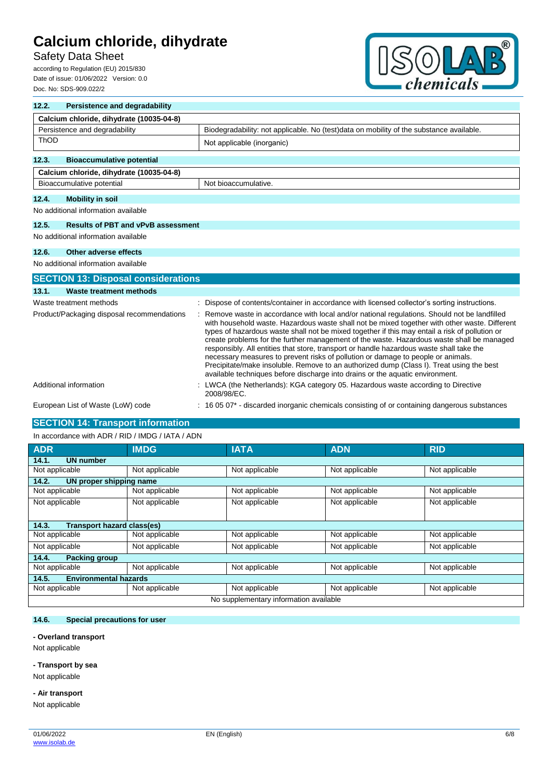## Safety Data Sheet

according to Regulation (EU) 2015/830 Date of issue: 01/06/2022 Version: 0.0 Doc. No: SDS-909.022/2



| 12.2.                                      | <b>Persistence and degradability</b>                                                                                     |                                                                                                                                                                                                                                                                                                                                                                                                                                                                                                                                                                                                                                                                                                                                                          |  |  |
|--------------------------------------------|--------------------------------------------------------------------------------------------------------------------------|----------------------------------------------------------------------------------------------------------------------------------------------------------------------------------------------------------------------------------------------------------------------------------------------------------------------------------------------------------------------------------------------------------------------------------------------------------------------------------------------------------------------------------------------------------------------------------------------------------------------------------------------------------------------------------------------------------------------------------------------------------|--|--|
|                                            | Calcium chloride, dihydrate (10035-04-8)                                                                                 |                                                                                                                                                                                                                                                                                                                                                                                                                                                                                                                                                                                                                                                                                                                                                          |  |  |
|                                            | Persistence and degradability<br>Biodegradability: not applicable. No (test)data on mobility of the substance available. |                                                                                                                                                                                                                                                                                                                                                                                                                                                                                                                                                                                                                                                                                                                                                          |  |  |
| ThOD                                       |                                                                                                                          | Not applicable (inorganic)                                                                                                                                                                                                                                                                                                                                                                                                                                                                                                                                                                                                                                                                                                                               |  |  |
| 12.3.                                      | <b>Bioaccumulative potential</b>                                                                                         |                                                                                                                                                                                                                                                                                                                                                                                                                                                                                                                                                                                                                                                                                                                                                          |  |  |
|                                            | Calcium chloride, dihydrate (10035-04-8)                                                                                 |                                                                                                                                                                                                                                                                                                                                                                                                                                                                                                                                                                                                                                                                                                                                                          |  |  |
|                                            | Bioaccumulative potential                                                                                                | Not bioaccumulative.                                                                                                                                                                                                                                                                                                                                                                                                                                                                                                                                                                                                                                                                                                                                     |  |  |
| 12.4.                                      | <b>Mobility in soil</b>                                                                                                  |                                                                                                                                                                                                                                                                                                                                                                                                                                                                                                                                                                                                                                                                                                                                                          |  |  |
|                                            | No additional information available                                                                                      |                                                                                                                                                                                                                                                                                                                                                                                                                                                                                                                                                                                                                                                                                                                                                          |  |  |
| 12.5.                                      | <b>Results of PBT and vPvB assessment</b>                                                                                |                                                                                                                                                                                                                                                                                                                                                                                                                                                                                                                                                                                                                                                                                                                                                          |  |  |
|                                            | No additional information available                                                                                      |                                                                                                                                                                                                                                                                                                                                                                                                                                                                                                                                                                                                                                                                                                                                                          |  |  |
| 12.6.                                      | Other adverse effects                                                                                                    |                                                                                                                                                                                                                                                                                                                                                                                                                                                                                                                                                                                                                                                                                                                                                          |  |  |
|                                            | No additional information available                                                                                      |                                                                                                                                                                                                                                                                                                                                                                                                                                                                                                                                                                                                                                                                                                                                                          |  |  |
|                                            | <b>SECTION 13: Disposal considerations</b>                                                                               |                                                                                                                                                                                                                                                                                                                                                                                                                                                                                                                                                                                                                                                                                                                                                          |  |  |
| 13.1.                                      | Waste treatment methods                                                                                                  |                                                                                                                                                                                                                                                                                                                                                                                                                                                                                                                                                                                                                                                                                                                                                          |  |  |
|                                            | Waste treatment methods                                                                                                  | Dispose of contents/container in accordance with licensed collector's sorting instructions.                                                                                                                                                                                                                                                                                                                                                                                                                                                                                                                                                                                                                                                              |  |  |
| Product/Packaging disposal recommendations |                                                                                                                          | Remove waste in accordance with local and/or national regulations. Should not be landfilled<br>with household waste. Hazardous waste shall not be mixed together with other waste. Different<br>types of hazardous waste shall not be mixed together if this may entail a risk of pollution or<br>create problems for the further management of the waste. Hazardous waste shall be managed<br>responsibly. All entities that store, transport or handle hazardous waste shall take the<br>necessary measures to prevent risks of pollution or damage to people or animals.<br>Precipitate/make insoluble. Remove to an authorized dump (Class I). Treat using the best<br>available techniques before discharge into drains or the aquatic environment. |  |  |
|                                            | Additional information                                                                                                   | : LWCA (the Netherlands): KGA category 05. Hazardous waste according to Directive<br>2008/98/EC.                                                                                                                                                                                                                                                                                                                                                                                                                                                                                                                                                                                                                                                         |  |  |
| European List of Waste (LoW) code          |                                                                                                                          | 16 05 07* - discarded inorganic chemicals consisting of or containing dangerous substances                                                                                                                                                                                                                                                                                                                                                                                                                                                                                                                                                                                                                                                               |  |  |

## **SECTION 14: Transport information**

| In accordance with ADR / RID / IMDG / IATA / ADN |                |                |                |                |  |  |
|--------------------------------------------------|----------------|----------------|----------------|----------------|--|--|
| <b>ADR</b>                                       | <b>IMDG</b>    | <b>IATA</b>    | <b>ADN</b>     | <b>RID</b>     |  |  |
| <b>UN number</b><br>14.1.                        |                |                |                |                |  |  |
| Not applicable                                   | Not applicable | Not applicable | Not applicable | Not applicable |  |  |
| 14.2.<br>UN proper shipping name                 |                |                |                |                |  |  |
| Not applicable                                   | Not applicable | Not applicable | Not applicable | Not applicable |  |  |
| Not applicable                                   | Not applicable | Not applicable | Not applicable | Not applicable |  |  |
|                                                  |                |                |                |                |  |  |
| <b>Transport hazard class(es)</b><br>14.3.       |                |                |                |                |  |  |
| Not applicable                                   | Not applicable | Not applicable | Not applicable | Not applicable |  |  |
| Not applicable                                   | Not applicable | Not applicable | Not applicable | Not applicable |  |  |
| 14.4.<br><b>Packing group</b>                    |                |                |                |                |  |  |
| Not applicable                                   | Not applicable | Not applicable | Not applicable | Not applicable |  |  |
| 14.5.<br><b>Environmental hazards</b>            |                |                |                |                |  |  |
| Not applicable                                   | Not applicable | Not applicable | Not applicable | Not applicable |  |  |
| No supplementary information available           |                |                |                |                |  |  |

#### **14.6. Special precautions for user**

#### **- Overland transport**

Not applicable

### **- Transport by sea**

Not applicable

#### **- Air transport**

Not applicable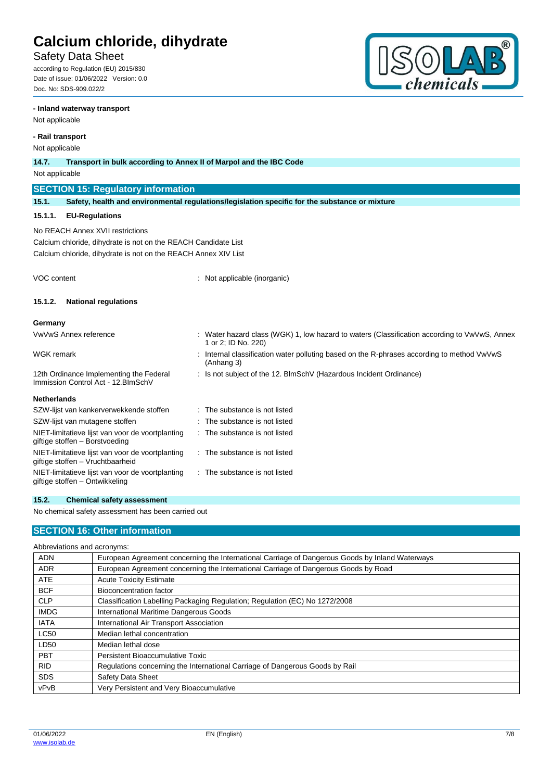## Safety Data Sheet

according to Regulation (EU) 2015/830 Date of issue: 01/06/2022 Version: 0.0 Doc. No: SDS-909.022/2

### **- Inland waterway transport**

Not applicable

### **- Rail transport**

Not applicable

| <b>NOT applicable</b>                                                                                                                                                |                                                                                                                     |  |  |  |
|----------------------------------------------------------------------------------------------------------------------------------------------------------------------|---------------------------------------------------------------------------------------------------------------------|--|--|--|
| 14.7.                                                                                                                                                                | Transport in bulk according to Annex II of Marpol and the IBC Code                                                  |  |  |  |
| Not applicable                                                                                                                                                       |                                                                                                                     |  |  |  |
| <b>SECTION 15: Regulatory information</b>                                                                                                                            |                                                                                                                     |  |  |  |
| 15.1.                                                                                                                                                                | Safety, health and environmental regulations/legislation specific for the substance or mixture                      |  |  |  |
| 15.1.1.<br><b>EU-Regulations</b>                                                                                                                                     |                                                                                                                     |  |  |  |
| No REACH Annex XVII restrictions<br>Calcium chloride, dihydrate is not on the REACH Candidate List<br>Calcium chloride, dihydrate is not on the REACH Annex XIV List |                                                                                                                     |  |  |  |
| VOC content                                                                                                                                                          | Not applicable (inorganic)                                                                                          |  |  |  |
| 15.1.2.<br><b>National regulations</b>                                                                                                                               |                                                                                                                     |  |  |  |
| Germany                                                                                                                                                              |                                                                                                                     |  |  |  |
| VwVwS Annex reference                                                                                                                                                | : Water hazard class (WGK) 1, low hazard to waters (Classification according to VwVwS, Annex<br>1 or 2; ID No. 220) |  |  |  |
| <b>WGK</b> remark                                                                                                                                                    | Internal classification water polluting based on the R-phrases according to method VwVwS<br>(Anhang 3)              |  |  |  |
| 12th Ordinance Implementing the Federal<br>Immission Control Act - 12. BlmSchV                                                                                       | : Is not subject of the 12. BlmSchV (Hazardous Incident Ordinance)                                                  |  |  |  |
| <b>Netherlands</b>                                                                                                                                                   |                                                                                                                     |  |  |  |
| SZW-lijst van kankerverwekkende stoffen                                                                                                                              | The substance is not listed                                                                                         |  |  |  |
| SZW-lijst van mutagene stoffen                                                                                                                                       | The substance is not listed                                                                                         |  |  |  |
| NIET-limitatieve lijst van voor de voortplanting<br>giftige stoffen - Borstvoeding                                                                                   | : The substance is not listed                                                                                       |  |  |  |
| NIET-limitatieve lijst van voor de voortplanting<br>giftige stoffen - Vruchtbaarheid                                                                                 | The substance is not listed                                                                                         |  |  |  |

## **15.2. Chemical safety assessment**

NIET-limitatieve lijst van voor de voortplanting

No chemical safety assessment has been carried out

## **SECTION 16: Other information**

| Abbreviations and acronyms: |  |  |
|-----------------------------|--|--|
|                             |  |  |

giftige stoffen – Ontwikkeling

| <b>ADN</b>  | European Agreement concerning the International Carriage of Dangerous Goods by Inland Waterways |
|-------------|-------------------------------------------------------------------------------------------------|
| <b>ADR</b>  | European Agreement concerning the International Carriage of Dangerous Goods by Road             |
| <b>ATE</b>  | <b>Acute Toxicity Estimate</b>                                                                  |
| <b>BCF</b>  | Bioconcentration factor                                                                         |
| <b>CLP</b>  | Classification Labelling Packaging Regulation; Regulation (EC) No 1272/2008                     |
| <b>IMDG</b> | International Maritime Dangerous Goods                                                          |
| <b>IATA</b> | International Air Transport Association                                                         |
| <b>LC50</b> | Median lethal concentration                                                                     |
| LD50        | Median lethal dose                                                                              |
| <b>PBT</b>  | Persistent Bioaccumulative Toxic                                                                |
| <b>RID</b>  | Regulations concerning the International Carriage of Dangerous Goods by Rail                    |
| <b>SDS</b>  | Safety Data Sheet                                                                               |
| vPvB        | Very Persistent and Very Bioaccumulative                                                        |

: The substance is not listed